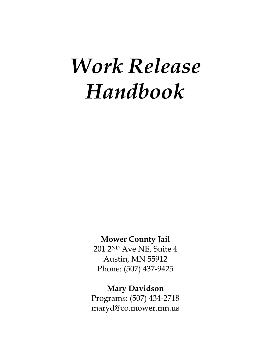# *Work Release Handbook*

# **Mower County Jail**

201 2ND Ave NE, Suite 4 Austin, MN 55912 Phone: (507) 437-9425

# **Mary Davidson**

Programs: (507) 434-2718 maryd@co.mower.mn.us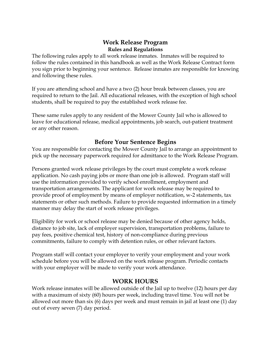# **Work Release Program Rules and Regulations**

The following rules apply to all work release inmates. Inmates will be required to follow the rules contained in this handbook as well as the Work Release Contract form you sign prior to beginning your sentence. Release inmates are responsible for knowing and following these rules.

If you are attending school and have a two (2) hour break between classes, you are required to return to the Jail. All educational releases, with the exception of high school students, shall be required to pay the established work release fee.

These same rules apply to any resident of the Mower County Jail who is allowed to leave for educational release, medical appointments, job search, out-patient treatment or any other reason.

# **Before Your Sentence Begins**

You are responsible for contacting the Mower County Jail to arrange an appointment to pick up the necessary paperwork required for admittance to the Work Release Program.

Persons granted work release privileges by the court must complete a work release application. No cash paying jobs or more than one job is allowed. Program staff will use the information provided to verify school enrollment, employment and transportation arrangements. The applicant for work release may be required to provide proof of employment by means of employer notification, w-2 statements, tax statements or other such methods. Failure to provide requested information in a timely manner may delay the start of work release privileges.

Eligibility for work or school release may be denied because of other agency holds, distance to job site, lack of employer supervision, transportation problems, failure to pay fees, positive chemical test, history of non-compliance during previous commitments, failure to comply with detention rules, or other relevant factors.

Program staff will contact your employer to verify your employment and your work schedule before you will be allowed on the work release program. Periodic contacts with your employer will be made to verify your work attendance.

# **WORK HOURS**

Work release inmates will be allowed outside of the Jail up to twelve (12) hours per day with a maximum of sixty (60) hours per week, including travel time. You will not be allowed out more than six (6) days per week and must remain in jail at least one (1) day out of every seven (7) day period.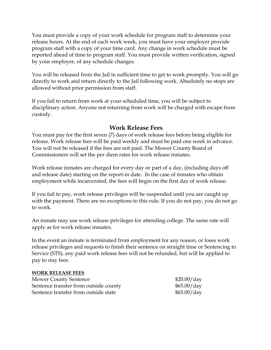You must provide a copy of your work schedule for program staff to determine your release hours. At the end of each work week, you must have your employer provide program staff with a copy of your time card. Any change in work schedule must be reported ahead of time to program staff. You must provide written verification, signed by your employer, of any schedule changes.

You will be released from the Jail in sufficient time to get to work promptly. You will go directly to work and return directly to the Jail following work. Absolutely no stops are allowed without prior permission from staff.

If you fail to return from work at your scheduled time, you will be subject to disciplinary action. Anyone not returning from work will be charged with escape from custody.

# **Work Release Fees**

You must pay for the first seven (7) days of work release fees before being eligible for release. Work release fees will be paid weekly and must be paid one week in advance. You will not be released if the fees are not paid. The Mower County Board of Commissioners will set the per diem rates for work release inmates.

Work release inmates are charged for every day or part of a day, (including days off and release date) starting on the report-in date. In the case of inmates who obtain employment while incarcerated, the fees will begin on the first day of work release.

If you fail to pay, work release privileges will be suspended until you are caught up with the payment. There are no exceptions to this rule. If you do not pay, you do not go to work.

An inmate may use work release privileges for attending college. The same rate will apply as for work release inmates.

In the event an inmate is terminated from employment for any reason, or loses work release privileges and requests to finish their sentence on straight time or Sentencing to Service (STS), any paid work release fees will not be refunded, but will be applied to pay to stay fees.

#### **WORK RELEASE FEES**

| <b>Mower County Sentence</b>          | \$20.00/day |
|---------------------------------------|-------------|
| Sentence transfer from outside county | \$65.00/day |
| Sentence transfer from outside state  | \$65.00/day |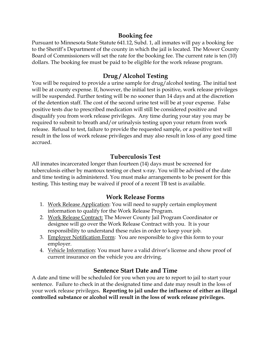# **Booking fee**

Pursuant to Minnesota State Statute 641.12, Subd. 1, all inmates will pay a booking fee to the Sheriff's Department of the county in which the jail is located. The Mower County Board of Commissioners will set the rate for the booking fee. The current rate is ten (10) dollars. The booking fee must be paid to be eligible for the work release program.

# **Drug / Alcohol Testing**

You will be required to provide a urine sample for drug/alcohol testing. The initial test will be at county expense. If, however, the initial test is positive, work release privileges will be suspended. Further testing will be no sooner than 14 days and at the discretion of the detention staff. The cost of the second urine test will be at your expense. False positive tests due to prescribed medication will still be considered positive and disqualify you from work release privileges. Any time during your stay you may be required to submit to breath and/or urinalysis testing upon your return from work release. Refusal to test, failure to provide the requested sample, or a positive test will result in the loss of work release privileges and may also result in loss of any good time accrued.

# **Tuberculosis Test**

All inmates incarcerated longer than fourteen (14) days must be screened for tuberculosis either by mantoux testing or chest x-ray. You will be advised of the date and time testing is administered. You must make arrangements to be present for this testing. This testing may be waived if proof of a recent TB test is available.

# **Work Release Forms**

- 1. Work Release Application: You will need to supply certain employment information to qualify for the Work Release Program.
- 2. Work Release Contract: The Mower County Jail Program Coordinator or designee will go over the Work Release Contract with you. It is your responsibility to understand these rules in order to keep your job.
- 3. Employer Notification Form: You are responsible to give this form to your employer.
- 4. Vehicle Information: You must have a valid driver's license and show proof of current insurance on the vehicle you are driving.

# **Sentence Start Date and Time**

A date and time will be scheduled for you when you are to report to jail to start your sentence. Failure to check in at the designated time and date may result in the loss of your work release privileges**. Reporting to jail under the influence of either an illegal controlled substance or alcohol will result in the loss of work release privileges.**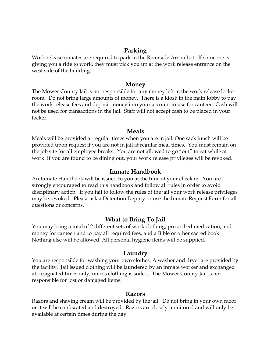#### **Parking**

Work release inmates are required to park in the Riverside Arena Lot. If someone is giving you a ride to work, they must pick you up at the work release entrance on the west side of the building.

#### **Money**

The Mower County Jail is not responsible for any money left in the work release locker room. Do not bring large amounts of money. There is a kiosk in the main lobby to pay the work release fees and deposit money into your account to use for canteen. Cash will not be used for transactions in the Jail. Staff will not accept cash to be placed in your locker.

#### **Meals**

Meals will be provided at regular times when you are in jail. One sack lunch will be provided upon request if you are not in jail at regular meal times. You must remain on the job site for all employee breaks. You are not allowed to go "out" to eat while at work. If you are found to be dining out, your work release privileges will be revoked.

#### **Inmate Handbook**

An Inmate Handbook will be issued to you at the time of your check in. You are strongly encouraged to read this handbook and follow all rules in order to avoid disciplinary action. If you fail to follow the rules of the jail your work release privileges may be revoked. Please ask a Detention Deputy or use the Inmate Request Form for all questions or concerns.

#### **What to Bring To Jail**

You may bring a total of 2 different sets of work clothing, prescribed medication, and money for canteen and to pay all required fees, and a Bible or other sacred book. Nothing else will be allowed. All personal hygiene items will be supplied.

#### **Laundry**

You are responsible for washing your own clothes. A washer and dryer are provided by the facility. Jail issued clothing will be laundered by an inmate worker and exchanged at designated times only, unless clothing is soiled. The Mower County Jail is not responsible for lost or damaged items.

#### **Razors**

Razors and shaving cream will be provided by the jail. Do not bring in your own razor or it will be confiscated and destroyed. Razors are closely monitored and will only be available at certain times during the day.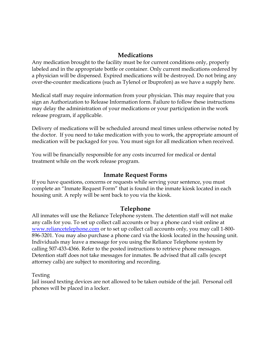# **Medications**

Any medication brought to the facility must be for current conditions only, properly labeled and in the appropriate bottle or container. Only current medications ordered by a physician will be dispensed. Expired medications will be destroyed. Do not bring any over-the-counter medications (such as Tylenol or Ibuprofen) as we have a supply here.

Medical staff may require information from your physician. This may require that you sign an Authorization to Release Information form. Failure to follow these instructions may delay the administration of your medications or your participation in the work release program, if applicable.

Delivery of medications will be scheduled around meal times unless otherwise noted by the doctor. If you need to take medication with you to work, the appropriate amount of medication will be packaged for you. You must sign for all medication when received.

You will be financially responsible for any costs incurred for medical or dental treatment while on the work release program.

### **Inmate Request Forms**

If you have questions, concerns or requests while serving your sentence, you must complete an "Inmate Request Form" that is found in the inmate kiosk located in each housing unit. A reply will be sent back to you via the kiosk.

# **Telephone**

All inmates will use the Reliance Telephone system. The detention staff will not make any calls for you. To set up collect call accounts or buy a phone card visit online at [www.reliancetelephone.com](http://www.reliancetelephone.com/) or to set up collect call accounts only, you may call 1-800- 896-3201. You may also purchase a phone card via the kiosk located in the housing unit. Individuals may leave a message for you using the Reliance Telephone system by calling 507-433-4366. Refer to the posted instructions to retrieve phone messages. Detention staff does not take messages for inmates. Be advised that all calls (except attorney calls) are subject to monitoring and recording.

Texting

Jail issued texting devices are not allowed to be taken outside of the jail. Personal cell phones will be placed in a locker.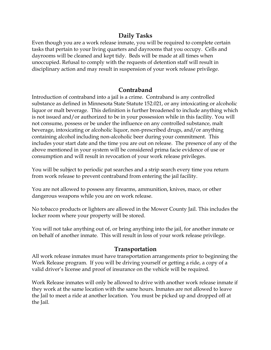# **Daily Tasks**

Even though you are a work release inmate, you will be required to complete certain tasks that pertain to your living quarters and dayrooms that you occupy. Cells and dayrooms will be cleaned and kept tidy. Beds will be made at all times when unoccupied. Refusal to comply with the requests of detention staff will result in disciplinary action and may result in suspension of your work release privilege.

# **Contraband**

Introduction of contraband into a jail is a crime. Contraband is any controlled substance as defined in Minnesota State Statute 152.021, or any intoxicating or alcoholic liquor or malt beverage. This definition is further broadened to include anything which is not issued and/or authorized to be in your possession while in this facility. You will not consume, possess or be under the influence on any controlled substance, malt beverage, intoxicating or alcoholic liquor, non-prescribed drugs, and/or anything containing alcohol including non-alcoholic beer during your commitment. This includes your start date and the time you are out on release. The presence of any of the above mentioned in your system will be considered prima facie evidence of use or consumption and will result in revocation of your work release privileges.

You will be subject to periodic pat searches and a strip search every time you return from work release to prevent contraband from entering the jail facility.

You are not allowed to possess any firearms, ammunition, knives, mace, or other dangerous weapons while you are on work release.

No tobacco products or lighters are allowed in the Mower County Jail. This includes the locker room where your property will be stored.

You will not take anything out of, or bring anything into the jail, for another inmate or on behalf of another inmate. This will result in loss of your work release privilege.

# **Transportation**

All work release inmates must have transportation arrangements prior to beginning the Work Release program. If you will be driving yourself or getting a ride, a copy of a valid driver's license and proof of insurance on the vehicle will be required.

Work Release inmates will only be allowed to drive with another work release inmate if they work at the same location with the same hours. Inmates are not allowed to leave the Jail to meet a ride at another location. You must be picked up and dropped off at the Jail.